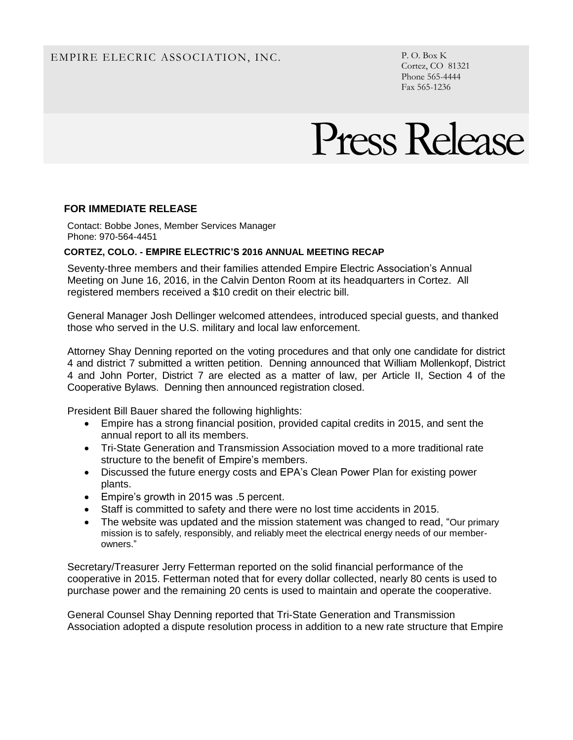# EMPIRE ELECRIC ASSOCIATION, INC. P.O. Box K

Cortez, CO 81321 Phone 565-4444 Fax 565-1236

# Press Release

## **FOR IMMEDIATE RELEASE**

Contact: Bobbe Jones, Member Services Manager Phone: 970-564-4451

#### **CORTEZ, COLO. - EMPIRE ELECTRIC'S 2016 ANNUAL MEETING RECAP**

Seventy-three members and their families attended Empire Electric Association's Annual Meeting on June 16, 2016, in the Calvin Denton Room at its headquarters in Cortez. All registered members received a \$10 credit on their electric bill.

General Manager Josh Dellinger welcomed attendees, introduced special guests, and thanked those who served in the U.S. military and local law enforcement.

Attorney Shay Denning reported on the voting procedures and that only one candidate for district 4 and district 7 submitted a written petition. Denning announced that William Mollenkopf, District 4 and John Porter, District 7 are elected as a matter of law, per Article II, Section 4 of the Cooperative Bylaws. Denning then announced registration closed.

President Bill Bauer shared the following highlights:

- Empire has a strong financial position, provided capital credits in 2015, and sent the annual report to all its members.
- Tri-State Generation and Transmission Association moved to a more traditional rate structure to the benefit of Empire's members.
- Discussed the future energy costs and EPA's Clean Power Plan for existing power plants.
- Empire's growth in 2015 was .5 percent.
- Staff is committed to safety and there were no lost time accidents in 2015.
- The website was updated and the mission statement was changed to read, "Our primary" mission is to safely, responsibly, and reliably meet the electrical energy needs of our memberowners."

Secretary/Treasurer Jerry Fetterman reported on the solid financial performance of the cooperative in 2015. Fetterman noted that for every dollar collected, nearly 80 cents is used to purchase power and the remaining 20 cents is used to maintain and operate the cooperative.

General Counsel Shay Denning reported that Tri-State Generation and Transmission Association adopted a dispute resolution process in addition to a new rate structure that Empire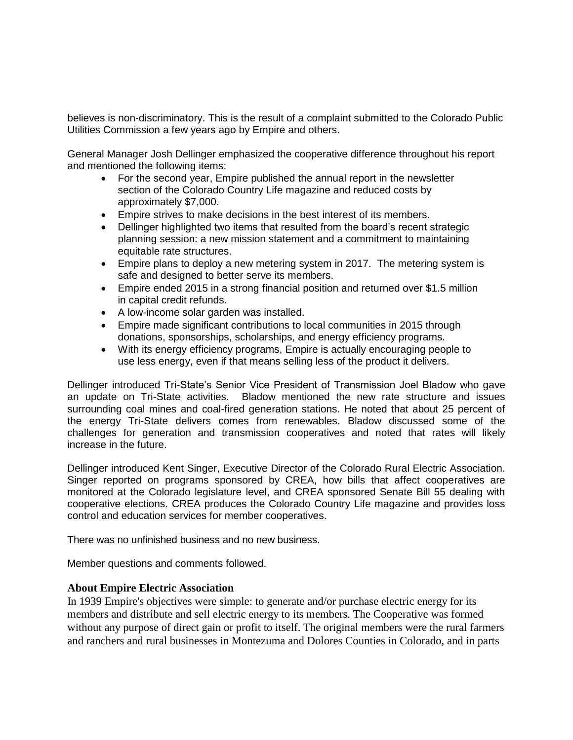believes is non-discriminatory. This is the result of a complaint submitted to the Colorado Public Utilities Commission a few years ago by Empire and others.

General Manager Josh Dellinger emphasized the cooperative difference throughout his report and mentioned the following items:

- For the second year, Empire published the annual report in the newsletter section of the Colorado Country Life magazine and reduced costs by approximately \$7,000.
- Empire strives to make decisions in the best interest of its members.
- Dellinger highlighted two items that resulted from the board's recent strategic planning session: a new mission statement and a commitment to maintaining equitable rate structures.
- Empire plans to deploy a new metering system in 2017. The metering system is safe and designed to better serve its members.
- Empire ended 2015 in a strong financial position and returned over \$1.5 million in capital credit refunds.
- A low-income solar garden was installed.
- Empire made significant contributions to local communities in 2015 through donations, sponsorships, scholarships, and energy efficiency programs.
- With its energy efficiency programs, Empire is actually encouraging people to use less energy, even if that means selling less of the product it delivers.

Dellinger introduced Tri-State's Senior Vice President of Transmission Joel Bladow who gave an update on Tri-State activities. Bladow mentioned the new rate structure and issues surrounding coal mines and coal-fired generation stations. He noted that about 25 percent of the energy Tri-State delivers comes from renewables. Bladow discussed some of the challenges for generation and transmission cooperatives and noted that rates will likely increase in the future.

Dellinger introduced Kent Singer, Executive Director of the Colorado Rural Electric Association. Singer reported on programs sponsored by CREA, how bills that affect cooperatives are monitored at the Colorado legislature level, and CREA sponsored Senate Bill 55 dealing with cooperative elections. CREA produces the Colorado Country Life magazine and provides loss control and education services for member cooperatives.

There was no unfinished business and no new business.

Member questions and comments followed.

### **About Empire Electric Association**

In 1939 Empire's objectives were simple: to generate and/or purchase electric energy for its members and distribute and sell electric energy to its members. The Cooperative was formed without any purpose of direct gain or profit to itself. The original members were the rural farmers and ranchers and rural businesses in Montezuma and Dolores Counties in Colorado, and in parts